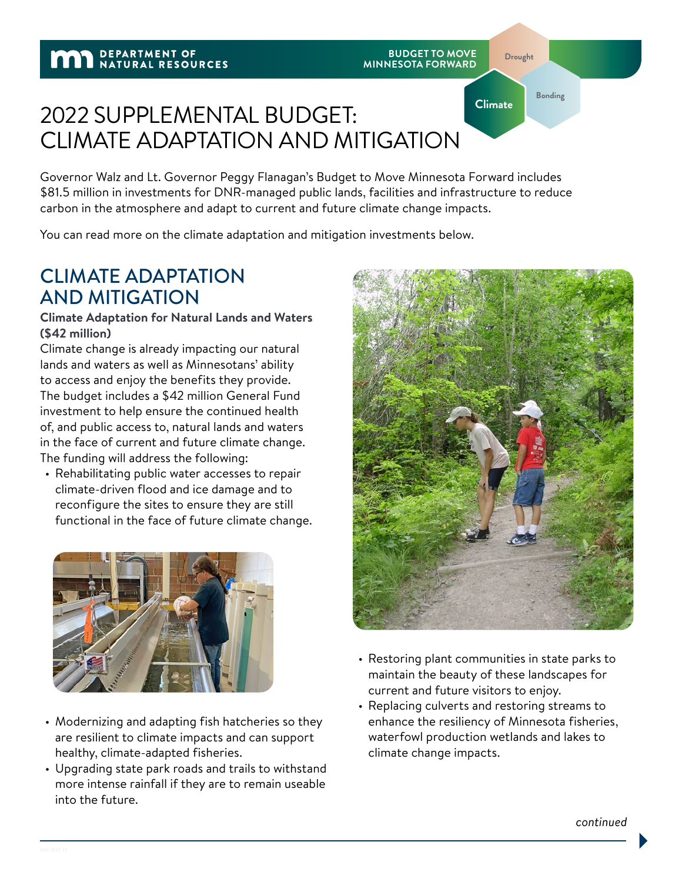**Drought**

**Climate**

**Bonding**

# 2022 SUPPLEMENTAL BUDGET: CLIMATE ADAPTATION AND MITIGATION

Governor Walz and Lt. Governor Peggy Flanagan's Budget to Move Minnesota Forward includes \$81.5 million in investments for DNR‑managed public lands, facilities and infrastructure to reduce carbon in the atmosphere and adapt to current and future climate change impacts.

You can read more on the climate adaptation and mitigation investments below.

## CLIMATE ADAPTATION AND MITIGATION

### **Climate Adaptation for Natural Lands and Waters (\$42 million)**

Climate change is already impacting our natural lands and waters as well as Minnesotans' ability to access and enjoy the benefits they provide. The budget includes a \$42 million General Fund investment to help ensure the continued health of, and public access to, natural lands and waters in the face of current and future climate change. The funding will address the following:

• Rehabilitating public water accesses to repair climate‑driven flood and ice damage and to reconfigure the sites to ensure they are still functional in the face of future climate change.



- Modernizing and adapting fish hatcheries so they are resilient to climate impacts and can support healthy, climate‑adapted fisheries.
- Upgrading state park roads and trails to withstand more intense rainfall if they are to remain useable into the future.



- Restoring plant communities in state parks to maintain the beauty of these landscapes for current and future visitors to enjoy.
- Replacing culverts and restoring streams to enhance the resiliency of Minnesota fisheries, waterfowl production wetlands and lakes to climate change impacts.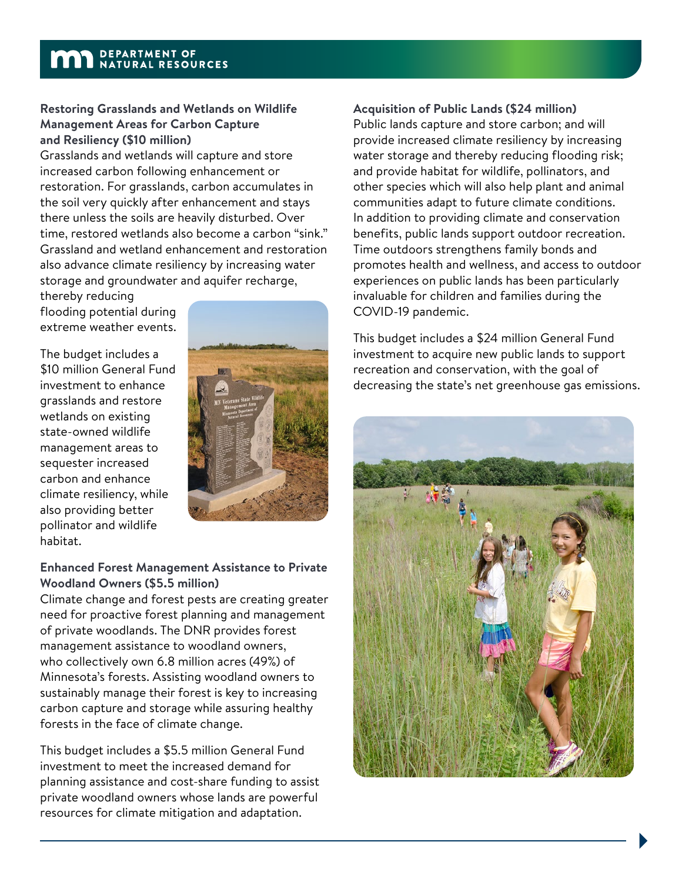## **MAN** DEPARTMENT OF NATURAL RESOURCES

#### **Restoring Grasslands and Wetlands on Wildlife Management Areas for Carbon Capture and Resiliency (\$10 million)**

Grasslands and wetlands will capture and store increased carbon following enhancement or restoration. For grasslands, carbon accumulates in the soil very quickly after enhancement and stays there unless the soils are heavily disturbed. Over time, restored wetlands also become a carbon "sink." Grassland and wetland enhancement and restoration also advance climate resiliency by increasing water storage and groundwater and aquifer recharge,

thereby reducing flooding potential during extreme weather events.

The budget includes a \$10 million General Fund investment to enhance grasslands and restore wetlands on existing state‑owned wildlife management areas to sequester increased carbon and enhance climate resiliency, while also providing better pollinator and wildlife habitat.



### **Enhanced Forest Management Assistance to Private Woodland Owners (\$5.5 million)**

Climate change and forest pests are creating greater need for proactive forest planning and management of private woodlands. The DNR provides forest management assistance to woodland owners, who collectively own 6.8 million acres (49%) of Minnesota's forests. Assisting woodland owners to sustainably manage their forest is key to increasing carbon capture and storage while assuring healthy forests in the face of climate change.

This budget includes a \$5.5 million General Fund investment to meet the increased demand for planning assistance and cost‑share funding to assist private woodland owners whose lands are powerful resources for climate mitigation and adaptation.

### **Acquisition of Public Lands (\$24 million)**

Public lands capture and store carbon; and will provide increased climate resiliency by increasing water storage and thereby reducing flooding risk; and provide habitat for wildlife, pollinators, and other species which will also help plant and animal communities adapt to future climate conditions. In addition to providing climate and conservation benefits, public lands support outdoor recreation. Time outdoors strengthens family bonds and promotes health and wellness, and access to outdoor experiences on public lands has been particularly invaluable for children and families during the COVID‑19 pandemic.

This budget includes a \$24 million General Fund investment to acquire new public lands to support recreation and conservation, with the goal of decreasing the state's net greenhouse gas emissions.